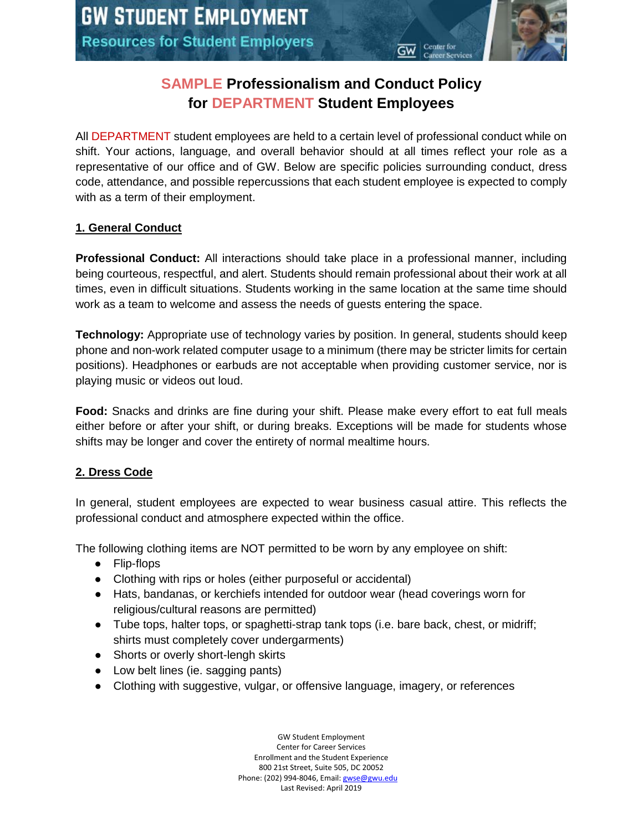# **SAMPLE Professionalism and Conduct Policy for DEPARTMENT Student Employees**

All DEPARTMENT student employees are held to a certain level of professional conduct while on shift. Your actions, language, and overall behavior should at all times reflect your role as a representative of our office and of GW. Below are specific policies surrounding conduct, dress code, attendance, and possible repercussions that each student employee is expected to comply with as a term of their employment.

## **1. General Conduct**

**Professional Conduct:** All interactions should take place in a professional manner, including being courteous, respectful, and alert. Students should remain professional about their work at all times, even in difficult situations. Students working in the same location at the same time should work as a team to welcome and assess the needs of guests entering the space.

**Technology:** Appropriate use of technology varies by position. In general, students should keep phone and non-work related computer usage to a minimum (there may be stricter limits for certain positions). Headphones or earbuds are not acceptable when providing customer service, nor is playing music or videos out loud.

**Food:** Snacks and drinks are fine during your shift. Please make every effort to eat full meals either before or after your shift, or during breaks. Exceptions will be made for students whose shifts may be longer and cover the entirety of normal mealtime hours.

# **2. Dress Code**

In general, student employees are expected to wear business casual attire. This reflects the professional conduct and atmosphere expected within the office.

The following clothing items are NOT permitted to be worn by any employee on shift:

- Flip-flops
- Clothing with rips or holes (either purposeful or accidental)
- Hats, bandanas, or kerchiefs intended for outdoor wear (head coverings worn for religious/cultural reasons are permitted)
- Tube tops, halter tops, or spaghetti-strap tank tops (i.e. bare back, chest, or midriff; shirts must completely cover undergarments)
- Shorts or overly short-lengh skirts
- Low belt lines (ie. sagging pants)
- Clothing with suggestive, vulgar, or offensive language, imagery, or references

GW Student Employment Center for Career Services Enrollment and the Student Experience 800 21st Street, Suite 505, DC 20052 Phone: (202) 994-8046, Email[: gwse@gwu.edu](mailto:gwse@gwu.edu) Last Revised: April 2019